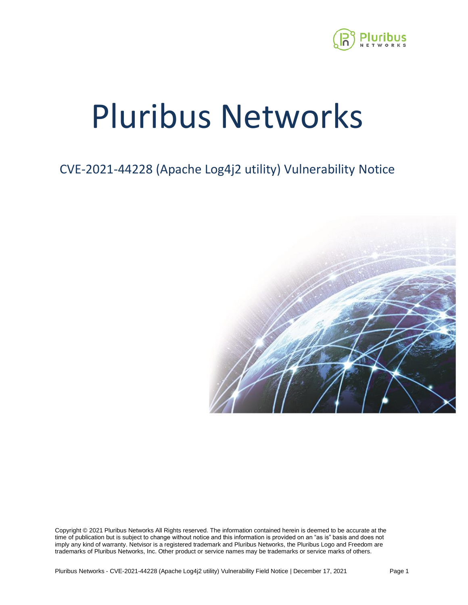

# Pluribus Networks

## CVE-2021-44228 (Apache Log4j2 utility) Vulnerability Notice



Copyright © 2021 Pluribus Networks All Rights reserved. The information contained herein is deemed to be accurate at the time of publication but is subject to change without notice and this information is provided on an "as is" basis and does not imply any kind of warranty. Netvisor is a registered trademark and Pluribus Networks, the Pluribus Logo and Freedom are trademarks of Pluribus Networks, Inc. Other product or service names may be trademarks or service marks of others.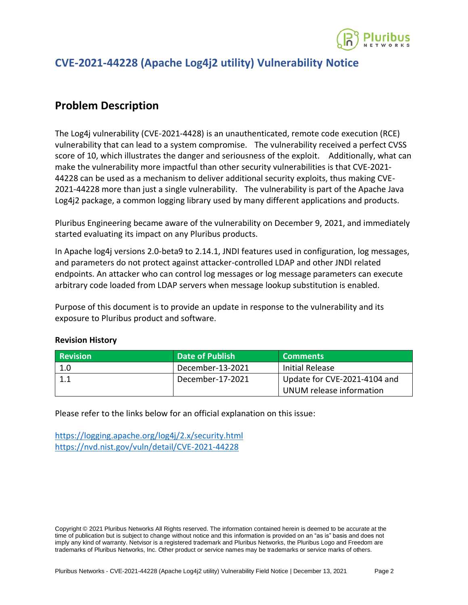

#### **CVE-2021-44228 (Apache Log4j2 utility) Vulnerability Notice**

#### **Problem Description**

The Log4j vulnerability (CVE-2021-4428) is an unauthenticated, remote code execution (RCE) vulnerability that can lead to a system compromise. The vulnerability received a perfect CVSS score of 10, which illustrates the danger and seriousness of the exploit. Additionally, what can make the vulnerability more impactful than other security vulnerabilities is that CVE-2021- 44228 can be used as a mechanism to deliver additional security exploits, thus making CVE-2021-44228 more than just a single vulnerability. The vulnerability is part of the Apache Java Log4j2 package, a common logging library used by many different applications and products.

Pluribus Engineering became aware of the vulnerability on December 9, 2021, and immediately started evaluating its impact on any Pluribus products.

In Apache log4j versions 2.0-beta9 to 2.14.1, JNDI features used in configuration, log messages, and parameters do not protect against attacker-controlled LDAP and other JNDI related endpoints. An attacker who can control log messages or log message parameters can execute arbitrary code loaded from LDAP servers when message lookup substitution is enabled.

Purpose of this document is to provide an update in response to the vulnerability and its exposure to Pluribus product and software.

| <b>Revision</b> | <b>Date of Publish</b> | <b>Comments</b>              |
|-----------------|------------------------|------------------------------|
| 1.0             | December-13-2021       | Initial Release              |
|                 | December-17-2021       | Update for CVE-2021-4104 and |
|                 |                        | UNUM release information     |

#### **Revision History**

Please refer to the links below for an official explanation on this issue:

<https://logging.apache.org/log4j/2.x/security.html> <https://nvd.nist.gov/vuln/detail/CVE-2021-44228>

Copyright © 2021 Pluribus Networks All Rights reserved. The information contained herein is deemed to be accurate at the time of publication but is subject to change without notice and this information is provided on an "as is" basis and does not imply any kind of warranty. Netvisor is a registered trademark and Pluribus Networks, the Pluribus Logo and Freedom are trademarks of Pluribus Networks, Inc. Other product or service names may be trademarks or service marks of others.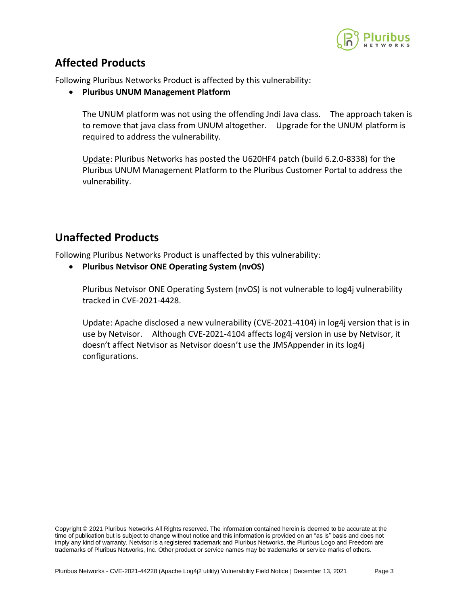

### **Affected Products**

Following Pluribus Networks Product is affected by this vulnerability:

• **Pluribus UNUM Management Platform**

The UNUM platform was not using the offending Jndi Java class. The approach taken is to remove that java class from UNUM altogether. Upgrade for the UNUM platform is required to address the vulnerability.

Update: Pluribus Networks has posted the U620HF4 patch (build 6.2.0-8338) for the Pluribus UNUM Management Platform to the Pluribus Customer Portal to address the vulnerability.

#### **Unaffected Products**

Following Pluribus Networks Product is unaffected by this vulnerability:

• **Pluribus Netvisor ONE Operating System (nvOS)** 

Pluribus Netvisor ONE Operating System (nvOS) is not vulnerable to log4j vulnerability tracked in CVE-2021-4428.

Update: Apache disclosed a new vulnerability (CVE-2021-4104) in log4j version that is in use by Netvisor. Although CVE-2021-4104 affects log4j version in use by Netvisor, it doesn't affect Netvisor as Netvisor doesn't use the JMSAppender in its log4j configurations.

Copyright © 2021 Pluribus Networks All Rights reserved. The information contained herein is deemed to be accurate at the time of publication but is subject to change without notice and this information is provided on an "as is" basis and does not imply any kind of warranty. Netvisor is a registered trademark and Pluribus Networks, the Pluribus Logo and Freedom are trademarks of Pluribus Networks, Inc. Other product or service names may be trademarks or service marks of others.